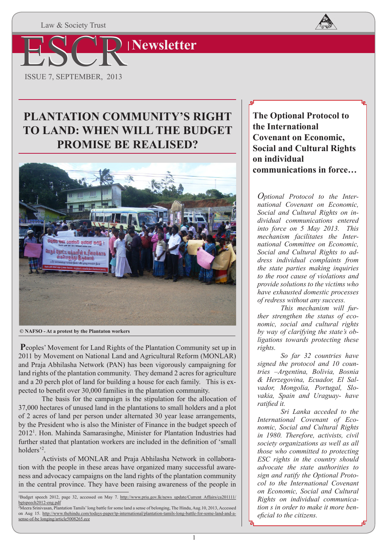Law & Society Trust



# **PLANTATION COMMUNITY'S RIGHT TO LAND: WHEN WILL THE BUDGET PROMISE BE REALISED?**



 **© NAFSO - At a protest by the Plantaton workers**

**P**eoples' Movement for Land Rights of the Plantation Community set up in 2011 by Movement on National Land and Agricultural Reform (MONLAR) and Praja Abhilasha Network (PAN) has been vigorously campaigning for land rights of the plantation community. They demand 2 acres for agriculture and a 20 perch plot of land for building a house for each family. This is expected to benefit over 30,000 families in the plantation community.

The basis for the campaign is the stipulation for the allocation of 37,000 hectares of unused land in the plantations to small holders and a plot of 2 acres of land per person under alternated 30 year lease arrangements, by the President who is also the Minister of Finance in the budget speech of 2012<sup>1</sup>. Hon. Mahinda Samarasinghe, Minister for Plantation Industries had further stated that plantation workers are included in the definition of 'small holders<sup>'2</sup>.

Activists of MONLAR and Praja Abhilasha Network in collaboration with the people in these areas have organized many successful awareness and advocacy campaigns on the land rights of the plantation community in the central province. They have been raising awareness of the people in **The Optional Protocol to the International Covenant on Economic, Social and Cultural Rights on individual communications in force…**

*Optional Protocol to the International Covenant on Economic, Social and Cultural Rights on individual communications entered into force on 5 May 2013. This mechanism facilitates the International Committee on Economic, Social and Cultural Rights to address individual complaints from the state parties making inquiries to the root cause of violations and provide solutions to the victims who have exhausted domestic processes of redress without any success.*

 *This mechanism will further strengthen the status of economic, social and cultural rights by way of clarifying the state's obligations towards protecting these rights.* 

*So far 32 countries have signed the protocol and 10 countries –Argentina, Bolivia, Bosnia & Herzegovina, Ecuador, El Salvador, Mongolia, Portugal, Slovakia, Spain and Uraguay- have ratified it.* 

*Sri Lanka acceded to the International Covenant of Economic, Social and Cultural Rights in 1980. Therefore, activists, civil society organizations as well as all those who committed to protecting ESC rights in the country should advocate the state authorities to sign and ratify the Optional Protocol to the International Covenant on Economic, Social and Cultural Rights on individual communication s in order to make it more beneficial to the citizens.* 

<sup>1</sup>Budget speech 2012, page 32, accessed on May 7. http://www.priu.gov.lk/news\_update/Current\_Affairs/ca201111/ bgtspeech2012-eng.pdf

<sup>2</sup>Meera Srinivasan, Plantation Tamils' long battle for some land a sense of belonging, The Hindu, Aug.10, 2013, Accessed on Aug 15. http://www.thehindu.com/todays-paper/tp-international/plantation-tamils-long-battle-for-some-land-and-asense-of-be longing/article5008265.ece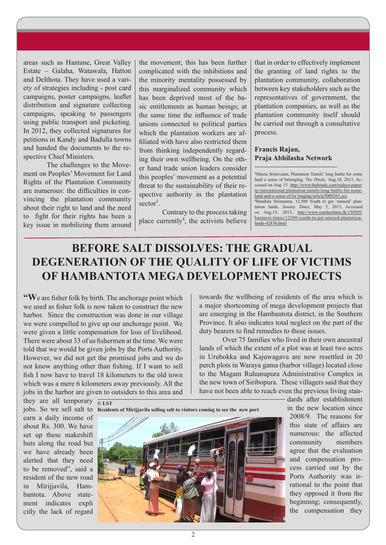areas such as Hantane, Great Valley Estate – Galaha, Watawala, Hatton and Delthota. They have used a variety of strategies including - post card campaigns, poster campaigns, leaflet distribution and signature collecting campaigns, speaking to passengers using public transport and picketing. In 2012, they collected signatures for petitions in Kandy and Badulla towns and handed the documents to the respective Chief Ministers.

The challenges to the Movement on Peoples' Movement for Land Rights of the Plantation Community are numerous: the difficulties in convincing the plantation community about their right to land and the need to fight for their rights has been a key issue in mobilizing them around the movement; this has been further complicated with the inhibitions and the minority mentality possessed by this marginalized community which has been deprived most of the basic entitlements as human beings; at the same time the influence of trade unions connected to political parties which the plantation workers are affiliated with have also restricted them from thinking independently regarding their own wellbeing. On the other hand trade union leaders consider this peoples' movement as a potential threat to the sustainability of their respective authority in the plantation sector<sup>3</sup>.

Contrary to the process taking place currently<sup>4</sup>, the activists believe

that in order to effectively implement the granting of land rights to the plantation community, collaboration between key stakeholders such as the representatives of government, the plantation companies, as well as the plantation community itself should be carried out through a consultative process.

#### **Francis Rajan, Praja Abhilasha Network**

3Meera Srinivasan, Plantation Tamils' long battle for some land a sense of belonging, *The Hindu,* Aug.10, 2013, Accessed on Aug 15. http://www.thehindu.com/todays-paper/ tp-international/plantation-tamils-long-battle-for-someland-and-a-sense-of-be longing/article5008265.ece

4Bandula Sirimanna, 12,500 Youth to get 'unused' plantation lands, *Sunday Times,* May 5, 2013, Accessed on Aug.15, 2013, http://www.sundaytimes.lk/130505/ business-times/12500-youth-to-get-unused-plantationlands-42836.html

# **BEFORE SALT DISSOLVES: THE GRADUAL DEGENERATION OF THE QUALITY OF LIFE OF VICTIMS OF HAMBANTOTA MEGA DEVELOPMENT PROJECTS**

**"W**e are fisher folk by birth. The anchorage point which we used as fisher folk is now taken to construct the new harbor. Since the construction was done in our village we were compelled to give up our anchorage point. We were given a little compensation for loss of livelihood. There were about 33 of us fishermen at the time. We were told that we would be given jobs by the Ports Authority. However, we did not get the promised jobs and we do not know anything other than fishing. If I want to sell fish I now have to travel 18 kilometers to the old town which was a mere 6 kilometers away previously. All the jobs in the harbor are given to outsiders to this area and

towards the wellbeing of residents of the area which is a major shortcoming of mega development projects that are emerging in the Hambantota district, in the Southern Province. It also indicates total neglect on the part of the duty bearers to find remedies to these issues.

Over 75 families who lived in their own ancestral lands of which the extent of a plot was at least two acres in Urubokka and Kajuwagava are now resettled in 20 perch plots in Waraya gama (harbor village) located close to the Magam Ruhunupura Administrative Complex in the new town of Siribopura. These villagers said that they have not been able to reach even the previous living stan-

they are all temporary  $\overline{\circ}$  LST earn a daily income of about Rs. 300. We have set up these makeshift huts along the road but we have already been alerted that they need to be removed", said a resident of the new road in Mirijjavila, Hambantota. Above statement indicates expli citly the lack of regard



dards after establishment in the new location since 2008/9. The reasons for this state of affairs are numerous: the affected community members agree that the evaluation and compensation process carried out by the Ports Authority was irrational to the point that they opposed it from the beginning; consequently, the compensation they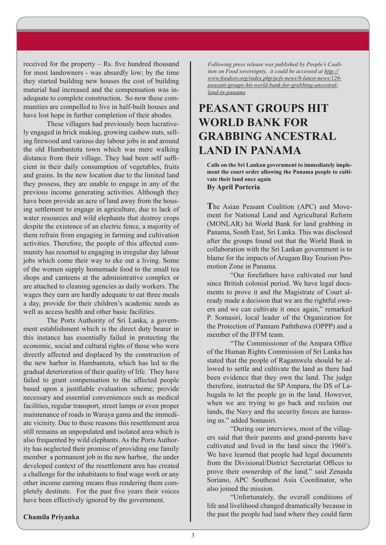received for the property – Rs. five hundred thousand for most landowners - was absurdly low; by the time they started building new houses the cost of building material had increased and the compensation was inadequate to complete construction. So now these communities are compelled to live in half-built houses and have lost hope in further completion of their abodes.

These villagers had previously been lucratively engaged in brick making, growing cashew nuts, selling firewood and various day labour jobs in and around the old Hambantota town which was mere walking distance from their village. They had been self sufficient in their daily consumption of vegetables, fruits and grains. In the new location due to the limited land they possess, they are unable to engage in any of the previous income generating activities. Although they have been provide an acre of land away from the housing settlement to engage in agriculture, due to lack of water resources and wild elephants that destroy crops despite the existence of an electric fence, a majority of them refrain from engaging in farming and cultivation activities. Therefore, the people of this affected community has resorted to engaging in irregular day labour jobs which come their way to eke out a living. Some of the women supply homemade food to the small tea shops and canteens at the administrative complex or are attached to cleaning agencies as daily workers. The wages they earn are hardly adequate to eat three meals a day, provide for their children's academic needs as well as access health and other basic facilities.

The Ports Authority of Sri Lanka, a government establishment which is the direct duty bearer in this instance has essentially failed in protecting the economic, social and cultural rights of those who were directly affected and displaced by the construction of the new harbor in Hambantota, which has led to the gradual deterioration of their quality of life. They have failed to grant compensation to the affected people based upon a justifiable evaluation scheme; provide necessary and essential conveniences such as medical facilities, regular transport, street lamps or even proper maintenance of roads in Waraya gama and the immediate vicinity. Due to these reasons this resettlement area still remains an unpopulated and isolated area which is also frequented by wild elephants. As the Ports Authority has neglected their promise of providing one family member a permanent job in the new harbor, the under developed context of the resettlement area has created a challenge for the inhabitants to find wage work or any other income earning means thus rendering them completely destitute. For the past five years their voices have been effectively ignored by the government.

*Following press release was published by People's Coalition on Food sovereignty, it could be accessed at http:// www.foodsov.org/index.php/pcfs-news/6-latest-news/120 peasant-groups-hit-world-bank-for-grabbing-ancestralland-in-panama*

## **PEASANT GROUPS HIT WORLD BANK FOR GRABBING ANCESTRAL LAND IN PANAMA**

**Calls on the Sri Lankan government to immediately implement the court order allowing the Panama people to cultivate their land once again**

**By April Porteria**

**T**he Asian Peasant Coalition (APC) and Movement for National Land and Agricultural Reform (MONLAR) hit World Bank for land grabbing in Panama, South East, Sri Lanka. This was disclosed after the groups found out that the World Bank in collaboration with the Sri Lankan government is to blame for the impacts of Arugam Bay Tourism Promotion Zone in Panama.

"Our forefathers have cultivated our land since British colonial period. We have legal documents to prove it and the Magistrate of Court already made a decision that we are the rightful owners and we can cultivate it once again," remarked P. Somasiri, local leader of the Organization for the Protection of Pannam Paththuwa (OPPP) and a member of the IFFM team.

"The Commissioner of the Ampara Office of the Human Rights Commission of Sri Lanka has stated that the people of Ragamwela should be allowed to settle and cultivate the land as there had been evidence that they own the land. The judge therefore, instructed the SP Ampara, the DS of Lahugala to let the people go in the land. However, when we are trying to go back and reclaim our lands, the Navy and the security forces are harassing us." added Somasiri.

"During our interviews, most of the villagers said that their parents and grand-parents have cultivated and lived in the land since the 1960's. We have learned that people had legal documents from the Divisional/District Secretariat Offices to prove their ownership of the land." said Zenaida Soriano, APC Southeast Asia Coordinator, who also joined the mission.

"Unfortunately, the overall conditions of life and livelihood changed dramatically because in the past the people had land where they could farm

#### **Chamila Priyanka**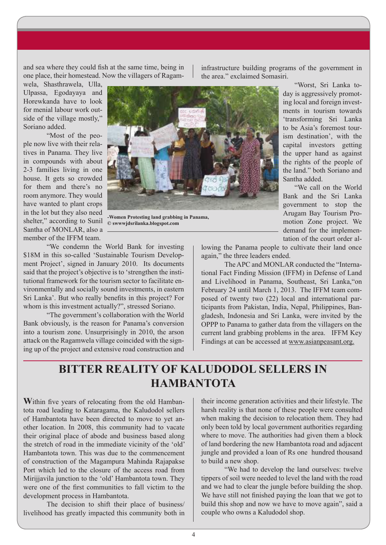and sea where they could fish at the same time, being in one place, their homestead. Now the villagers of Ragam-

wela, Shasthrawela, Ulla, Ulpassa, Egodayaya and Horewkanda have to look for menial labour work outside of the village mostly," Soriano added.

"Most of the people now live with their relatives in Panama. They live in compounds with about 2-3 families living in one house. It gets so crowded for them and there's no room anymore. They would have wanted to plant crops in the lot but they also need shelter," according to Sunil Santha of MONLAR, also a member of the IFFM team.



**-Women Protesting land grabbing in Panama, © swwwjdsrilanka.blogspot.com**

"We condemn the World Bank for investing \$18M in this so-called 'Sustainable Tourism Development Project', signed in January 2010. Its documents said that the project's objective is to 'strengthen the institutional framework for the tourism sector to facilitate environmentally and socially sound investments, in eastern Sri Lanka'. But who really benefits in this project? For whom is this investment actually?", stressed Soriano.

"The government's collaboration with the World Bank obviously, is the reason for Panama's conversion into a tourism zone. Unsurprisingly in 2010, the arson attack on the Ragamwela village coincided with the signing up of the project and extensive road construction and

infrastructure building programs of the government in the area." exclaimed Somasiri.

> "Worst, Sri Lanka today is aggressively promoting local and foreign investments in tourism towards 'transforming Sri Lanka to be Asia's foremost tourism destination', with the capital investors getting the upper hand as against the rights of the people of the land." both Soriano and Santha added.

> "We call on the World Bank and the Sri Lanka government to stop the Arugam Bay Tourism Promotion Zone project. We demand for the implementation of the court order al-

lowing the Panama people to cultivate their land once again," the three leaders ended.

The APC and MONLAR conducted the "International Fact Finding Mission (IFFM) in Defense of Land and Livelihood in Panama, Southeast, Sri Lanka,"on February 24 until March 1, 2013. The IFFM team composed of twenty two (22) local and international participants from Pakistan, India, Nepal, Philippines, Bangladesh, Indonesia and Sri Lanka, were invited by the OPPP to Panama to gather data from the villagers on the current land grabbing problems in the area. IFFM Key Findings at can be accessed at www.asianpeasant.org.

### **BITTER REALITY OF KALUDODOL SELLERS IN HAMBANTOTA**

**W**ithin five years of relocating from the old Hambantota road leading to Kataragama, the Kaludodol sellers of Hambantota have been directed to move to yet another location. In 2008, this community had to vacate their original place of abode and business based along the stretch of road in the immediate vicinity of the 'old' Hambantota town. This was due to the commencement of construction of the Magampura Mahinda Rajapakse Port which led to the closure of the access road from Mirijjavila junction to the 'old' Hambantota town. They were one of the first communities to fall victim to the development process in Hambantota.

The decision to shift their place of business/ livelihood has greatly impacted this community both in their income generation activities and their lifestyle. The harsh reality is that none of these people were consulted when making the decision to relocation them. They had only been told by local government authorities regarding where to move. The authorities had given them a block of land bordering the new Hambantota road and adjacent jungle and provided a loan of Rs one hundred thousand to build a new shop.

"We had to develop the land ourselves: twelve tippers of soil were needed to level the land with the road and we had to clear the jungle before building the shop. We have still not finished paying the loan that we got to build this shop and now we have to move again", said a couple who owns a Kaludodol shop.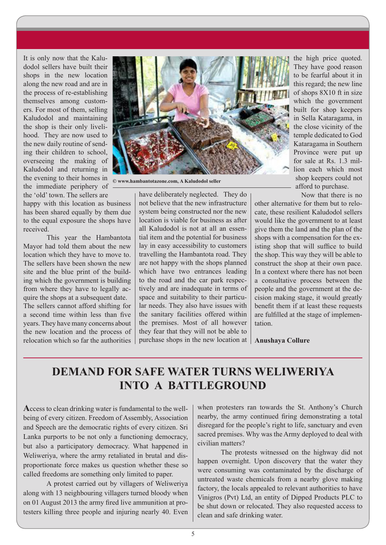It is only now that the Kaludodol sellers have built their shops in the new location along the new road and are in the process of re-establishing themselves among customers. For most of them, selling Kaludodol and maintaining the shop is their only livelihood. They are now used to the new daily routine of sending their children to school, overseeing the making of Kaludodol and returning in the evening to their homes in the immediate periphery of the 'old' town. The sellers are

happy with this location as business has been shared equally by them due to the equal exposure the shops have received.

This year the Hambantota Mayor had told them about the new location which they have to move to. The sellers have been shown the new site and the blue print of the building which the government is building from where they have to legally acquire the shops at a subsequent date.

The sellers cannot afford shifting for a second time within less than five years. They have many concerns about the new location and the process of relocation which so far the authorities



**© www.hambantotazone.com, A Kaludodol seller**

have deliberately neglected. They do not believe that the new infrastructure system being constructed nor the new location is viable for business as after all Kaludodol is not at all an essential item and the potential for business lay in easy accessibility to customers travelling the Hambantota road. They are not happy with the shops planned which have two entrances leading to the road and the car park respectively and are inadequate in terms of space and suitability to their particular needs. They also have issues with the sanitary facilities offered within the premises. Most of all however they fear that they will not be able to purchase shops in the new location at **Anushaya Collure**

the high price quoted. They have good reason to be fearful about it in this regard; the new line of shops 8X10 ft in size which the government built for shop keepers in Sella Kataragama, in the close vicinity of the temple dedicated to God Kataragama in Southern Province were put up for sale at Rs. 1.3 million each which most shop keepers could not afford to purchase.

Now that there is no

other alternative for them but to relocate, these resilient Kaludodol sellers would like the government to at least give them the land and the plan of the shops with a compensation for the existing shop that will suffice to build the shop. This way they will be able to construct the shop at their own pace. In a context where there has not been a consultative process between the people and the government at the decision making stage, it would greatly benefit them if at least these requests are fulfilled at the stage of implementation.

### **DEMAND FOR SAFE WATER TURNS WELIWERIYA INTO A BATTLEGROUND**

**A**ccess to clean drinking water is fundamental to the wellbeing of every citizen. Freedom of Assembly, Association and Speech are the democratic rights of every citizen. Sri Lanka purports to be not only a functioning democracy, but also a participatory democracy. What happened in Weliweriya, where the army retaliated in brutal and disproportionate force makes us question whether these so called freedoms are something only limited to paper.

A protest carried out by villagers of Weliweriya along with 13 neighbouring villagers turned bloody when on 01 August 2013 the army fired live ammunition at protesters killing three people and injuring nearly 40. Even

when protesters ran towards the St. Anthony's Church nearby, the army continued firing demonstrating a total disregard for the people's right to life, sanctuary and even sacred premises. Why was the Army deployed to deal with civilian matters?

The protests witnessed on the highway did not happen overnight. Upon discovery that the water they were consuming was contaminated by the discharge of untreated waste chemicals from a nearby glove making factory, the locals appealed to relevant authorities to have Vinigros (Pvt) Ltd, an entity of Dipped Products PLC to be shut down or relocated. They also requested access to clean and safe drinking water.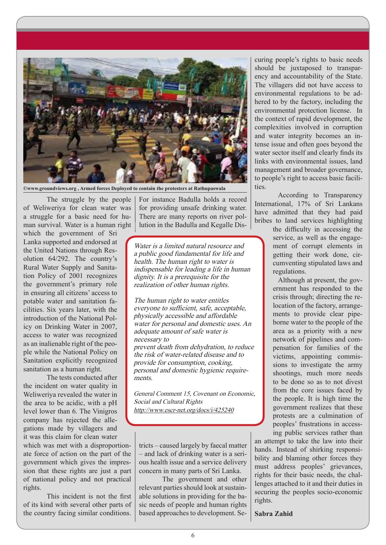

**©www.groundviews.org , Armed forces Deployed to contain the protesters at Rathupaswala** 

The struggle by the people of Weliweriya for clean water was a struggle for a basic need for human survival. Water is a human right

which the government of Sri Lanka supported and endorsed at the United Nations through Resolution 64/292. The country's Rural Water Supply and Sanitation Policy of 2001 recognizes the government's primary role in ensuring all citizens' access to potable water and sanitation facilities. Six years later, with the introduction of the National Policy on Drinking Water in 2007, access to water was recognized as an inalienable right of the people while the National Policy on Sanitation explicitly recognized sanitation as a human right.

The tests conducted after the incident on water quality in Weliweriya revealed the water in the area to be acidic, with a pH level lower than 6. The Vinigros company has rejected the allegations made by villagers and it was this claim for clean water

which was met with a disproportionate force of action on the part of the government which gives the impression that these rights are just a part of national policy and not practical rights.

This incident is not the first of its kind with several other parts of the country facing similar conditions.

For instance Badulla holds a record for providing unsafe drinking water. There are many reports on river pollution in the Badulla and Kegalle Dis-

Water is a limited natural resource and a public good fundamental for life and health. The human right to water is indispensable for leading a life in human dignity. It is a prerequisite for the realization of other human rights.

The human right to water entitles everyone to sufficient, safe, acceptable, physically accessible and affordable water for personal and domestic uses. An adequate amount of safe water is necessary to prevent death from dehydration, to reduce the risk of water-related disease and to provide for consumption, cooking, personal and domestic hygienic requirements.

General Comment 15, Covenant on Economic, Social and Cultural Rights http://www.escr-net.org/docs/i/425240

tricts – caused largely by faecal matter – and lack of drinking water is a serious health issue and a service delivery concern in many parts of Sri Lanka.

The government and other relevant parties should look at sustainable solutions in providing for the basic needs of people and human rights based approaches to development. Securing people's rights to basic needs should be juxtaposed to transparency and accountability of the State. The villagers did not have access to environmental regulations to be adhered to by the factory, including the environmental protection license. In the context of rapid development, the complexities involved in corruption and water integrity becomes an intense issue and often goes beyond the water sector itself and clearly finds its links with environmental issues, land management and broader governance, to people's right to access basic facilities.

According to Transparency International, 17% of Sri Lankans have admitted that they had paid bribes to land services highlighting

the difficulty in accessing the service, as well as the engagement of corrupt elements in getting their work done, circumventing stipulated laws and regulations.

Although at present, the government has responded to the crisis through; directing the relocation of the factory, arrangements to provide clear pipeborne water to the people of the area as a priority with a new network of pipelines and compensation for families of the victims, appointing commissions to investigate the army shootings, much more needs to be done so as to not divest from the core issues faced by the people. It is high time the government realizes that these protests are a culmination of peoples' frustrations in accessing public services rather than

an attempt to take the law into their hands. Instead of shirking responsibility and blaming other forces they must address peoples' grievances, rights for their basic needs, the challenges attached to it and their duties in securing the peoples socio-economic rights.

#### **Sabra Zahid**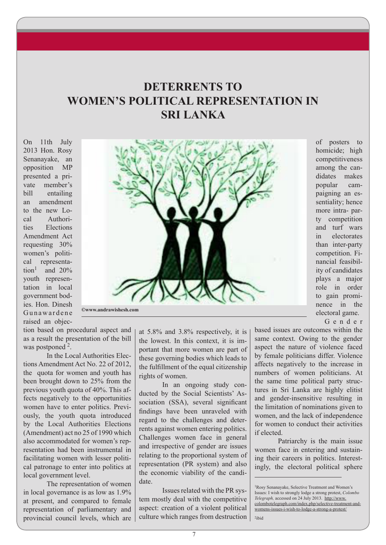### **DETERRENTS TO WOMEN'S POLITICAL REPRESENTATION IN SRI LANKA**

On 11th July 2013 Hon. Rosy Senanayake, an opposition MP presented a private member's bill entailing an amendment to the new Local Authorities Elections Amendment Act requesting 30% women's political representation<sup>1</sup> and  $20%$ youth representation in local government bodies. Hon. Dinesh Gunawardene raised an objec-



of posters to homicide; high competitiveness among the candidates makes popular campaigning an essentiality; hence more intra- party competition and turf wars in electorates than inter-party competition. Financial feasibility of candidates plays a major role in order to gain prominence in the electoral game.

G e n d e r

tion based on procedural aspect and as a result the presentation of the bill was postponed<sup>2</sup>.

In the Local Authorities Elections Amendment Act No. 22 of 2012, the quota for women and youth has been brought down to 25% from the previous youth quota of 40%. This affects negatively to the opportunities women have to enter politics. Previously, the youth quota introduced by the Local Authorities Elections (Amendment) act no 25 of 1990 which also accommodated for women's representation had been instrumental in facilitating women with lesser political patronage to enter into politics at local government level.

The representation of women in local governance is as low as 1.9% at present, and compared to female representation of parliamentary and provincial council levels, which are at 5.8% and 3.8% respectively, it is the lowest. In this context, it is important that more women are part of these governing bodies which leads to the fulfillment of the equal citizenship rights of women.

In an ongoing study conducted by the Social Scientists' Association (SSA), several significant findings have been unraveled with regard to the challenges and deterrents against women entering politics. Challenges women face in general and irrespective of gender are issues relating to the proportional system of representation (PR system) and also the economic viability of the candidate.

Issues related with the PR system mostly deal with the competitive aspect: creation of a violent political culture which ranges from destruction

7

based issues are outcomes within the same context. Owing to the gender aspect the nature of violence faced by female politicians differ. Violence affects negatively to the increase in numbers of women politicians. At the same time political party structures in Sri Lanka are highly elitist and gender-insensitive resulting in the limitation of nominations given to women, and the lack of independence for women to conduct their activities if elected.

Patriarchy is the main issue women face in entering and sustaining their careers in politics. Interestingly, the electoral political sphere

2ibid

<sup>1</sup>Rosy Senanayake, Selective Treatment and Women's Issues: I wish to strongly lodge a strong protest, *Colombo Telegraph,* accessed on 24 July 2013. http://www. colombotelegraph.com/index.php/selective-treatment-andwomens-issues-i-wish-to-lodge-a-strong-a-protest/